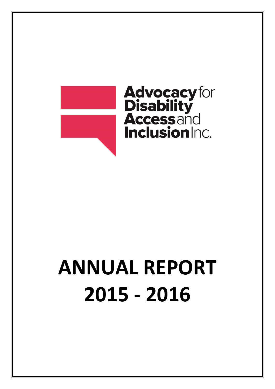

# **Advocacy** for<br>**Disability<br>Accessand Inclusion**Inc.

## **ANNUAL REPORT 2015 ‐ 2016**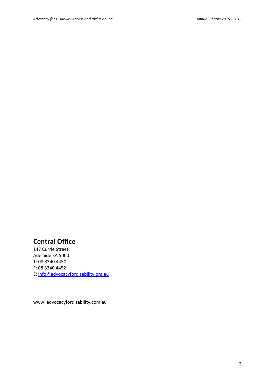## **Central Office**

 E: info@advocacyfordisability.org.au 147 Currie Street, Adelaide SA 5000 T: 08 8340 4450 F: 08 8340 4452

www: advocacyfordisability.com.au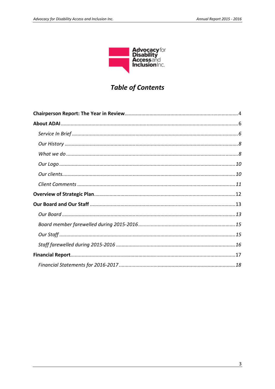

## **Table of Contents**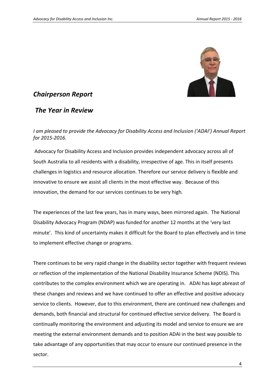

## *Chairperson Report*

#### *The Year in Review*

#### *I am pleased to provide the Advocacy for Disability Access and Inclusion ('ADAI') Annual Report for 2015‐2016.*

Advocacy for Disability Access and Inclusion provides independent advocacy across all of South Australia to all residents with a disability, irrespective of age. This in itself presents challenges in logistics and resource allocation. Therefore our service delivery is flexible and innovative to ensure we assist all clients in the most effective way. Because of this innovation, the demand for our services continues to be very high*.* 

The experiences of the last few years, has in many ways, been mirrored again. The National Disability Advocacy Program (NDAP) was funded for another 12 months at the 'very last minute'. This kind of uncertainty makes it difficult for the Board to plan effectively and in time to implement effective change or programs.

There continues to be very rapid change in the disability sector together with frequent reviews or reflection of the implementation of the National Disability Insurance Scheme (NDIS). This contributes to the complex environment which we are operating in. ADAI has kept abreast of these changes and reviews and we have continued to offer an effective and positive advocacy service to clients. However, due to this environment, there are continued new challenges and demands, both financial and structural for continued effective service delivery. The Board is continually monitoring the environment and adjusting its model and service to ensure we are meeting the external environment demands and to position ADAI in the best way possible to take advantage of any opportunities that may occur to ensure our continued presence in the sector.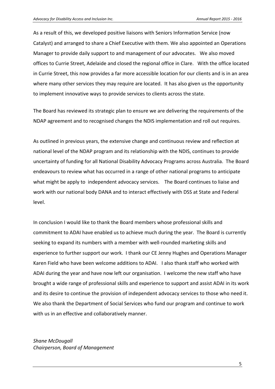As a result of this, we developed positive liaisons with Seniors Information Service (now Catalyst) and arranged to share a Chief Executive with them. We also appointed an Operations Manager to provide daily support to and management of our advocates. We also moved offices to Currie Street, Adelaide and closed the regional office in Clare. With the office located in Currie Street, this now provides a far more accessible location for our clients and is in an area where many other services they may require are located. It has also given us the opportunity to implement innovative ways to provide services to clients across the state.

The Board has reviewed its strategic plan to ensure we are delivering the requirements of the NDAP agreement and to recognised changes the NDIS implementation and roll out requires.

 what might be apply to independent advocacy services. The Board continues to liaise and As outlined in previous years, the extensive change and continuous review and reflection at national level of the NDAP program and its relationship with the NDIS, continues to provide uncertainty of funding for all National Disability Advocacy Programs across Australia. The Board endeavours to review what has occurred in a range of other national programs to anticipate work with our national body DANA and to interact effectively with DSS at State and Federal level.

In conclusion I would like to thank the Board members whose professional skills and commitment to ADAI have enabled us to achieve much during the year. The Board is currently seeking to expand its numbers with a member with well-rounded marketing skills and experience to further support our work. I thank our CE Jenny Hughes and Operations Manager Karen Field who have been welcome additions to ADAI. I also thank staff who worked with ADAI during the year and have now left our organisation. I welcome the new staff who have brought a wide range of professional skills and experience to support and assist ADAI in its work and its desire to continue the provision of independent advocacy services to those who need it. We also thank the Department of Social Services who fund our program and continue to work with us in an effective and collaboratively manner.

 *Chairperson, Board of Management Shane McDougall*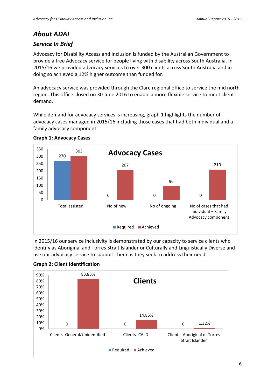## *About ADAI*

## *Service In Brief*

Advocacy for Disability Access and Inclusion is funded by the Australian Government to provide a free Advocacy service for people living with disability across South Australia. In 2015/16 we provided advocacy services to over 300 clients across South Australia and in doing so achieved a 12% higher outcome than funded for.

An advocacy service was provided through the Clare regional office to service the mid north region. This office closed on 30 June 2016 to enable a more flexible service to meet client demand.

While demand for advocacy services is increasing, graph 1 highlights the number of advocacy cases managed in 2015/16 including those cases that had both individual and a family advocacy component.



#### **Graph 1: Advocacy Cases**

In 2015/16 our service inclusivity is demonstrated by our capacity to service clients who identify as Aboriginal and Torres Strait Islander or Culturally and Linguistically Diverse and use our advocacy service to support them as they seek to address their needs.



#### **Graph 2: Client Identification**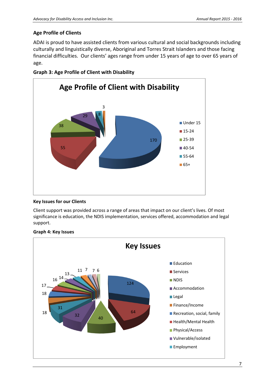#### **Age Profile of Clients**

ADAI is proud to have assisted clients from various cultural and social backgrounds including culturally and linguistically diverse, Aboriginal and Torres Strait Islanders and those facing financial difficulties. Our clients' ages range from under 15 years of age to over 65 years of age.





#### **Key Issues for our Clients**

Client support was provided across a range of areas that impact on our client's lives. Of most significance is education, the NDIS implementation, services offered, accommodation and legal support.



#### **Graph 4: Key Issues**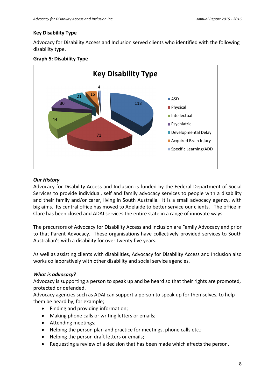#### **Key Disability Type**

Advocacy for Disability Access and Inclusion served clients who identified with the following disability type.

#### **Graph 5: Disability Type**



#### *Our History*

 big aims. Its central office has moved to Adelaide to better service our clients. The office in Advocacy for Disability Access and Inclusion is funded by the Federal Department of Social Services to provide individual, self and family advocacy services to people with a disability and their family and/or carer, living in South Australia. It is a small advocacy agency, with Clare has been closed and ADAI services the entire state in a range of innovate ways.

The precursors of Advocacy for Disability Access and Inclusion are Family Advocacy and prior to that Parent Advocacy. These organisations have collectively provided services to South Australian's with a disability for over twenty five years.

As well as assisting clients with disabilities, Advocacy for Disability Access and Inclusion also works collaboratively with other disability and social service agencies.

#### *What is advocacy?*

Advocacy is supporting a person to speak up and be heard so that their rights are promoted, protected or defended.

Advocacy agencies such as ADAI can support a person to speak up for themselves, to help them be heard by, for example;

- Finding and providing information;
- Making phone calls or writing letters or emails;
- Attending meetings;
- Helping the person plan and practice for meetings, phone calls etc.;
- Helping the person draft letters or emails;
- Requesting a review of a decision that has been made which affects the person.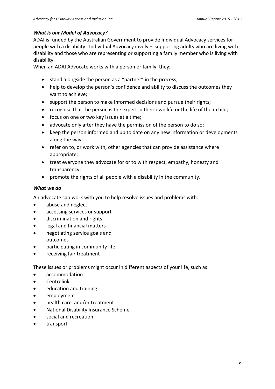#### *What is our Model of Advocacy?*

ADAI is funded by the Australian Government to provide Individual Advocacy services for people with a disability. Individual Advocacy involves supporting adults who are living with disability and those who are representing or supporting a family member who is living with disability.

When an ADAI Advocate works with a person or family, they;

- stand alongside the person as a "partner" in the process;
- help to develop the person's confidence and ability to discuss the outcomes they want to achieve;
- support the person to make informed decisions and pursue their rights;
- recognise that the person is the expert in their own life or the life of their child;
- focus on one or two key issues at a time;
- advocate only after they have the permission of the person to do so;
- keep the person informed and up to date on any new information or developments along the way;
- refer on to, or work with, other agencies that can provide assistance where appropriate;
- treat everyone they advocate for or to with respect, empathy, honesty and transparency;
- promote the rights of all people with a disability in the community.

#### *What we do*

An advocate can work with you to help resolve issues and problems with:

- abuse and neglect
- accessing services or support
- discrimination and rights
- legal and financial matters
- negotiating service goals and outcomes
- participating in community life
- receiving fair treatment

These issues or problems might occur in different aspects of your life, such as:

- accommodation
- Centrelink
- education and training
- employment
- health care and/or treatment
- National Disability Insurance Scheme
- social and recreation
- transport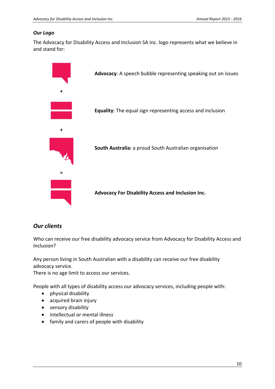#### *Our Logo*

The Advocacy for Disability Access and Inclusion SA Inc. logo represents what we believe in and stand for:



#### *Our clients*

Who can receive our free disability advocacy service from Advocacy for Disability Access and Inclusion?

Any person living in South Australian with a disability can receive our free disability advocacy service.

There is no age limit to access our services.

People with all types of disability access our advocacy services, including people with:

- physical disability
- acquired brain injury
- sensory disability
- intellectual or mental illness
- family and carers of people with disability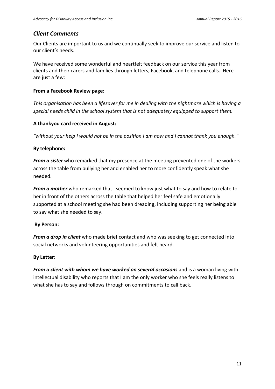#### *Client Comments*

Our Clients are important to us and we continually seek to improve our service and listen to our client's needs.

We have received some wonderful and heartfelt feedback on our service this year from clients and their carers and families through letters, Facebook, and telephone calls. Here are just a few:

#### **From a Facebook Review page:**

*This organisation has been a lifesaver for me in dealing with the nightmare which is having a special needs child in the school system that is not adequately equipped to support them.* 

#### **A thankyou card received in August:**

*"without your help I would not be in the position I am now and I cannot thank you enough."* 

#### **By telephone:**

*From a sister* who remarked that my presence at the meeting prevented one of the workers across the table from bullying her and enabled her to more confidently speak what she needed.

*From a mother* who remarked that I seemed to know just what to say and how to relate to her in front of the others across the table that helped her feel safe and emotionally supported at a school meeting she had been dreading, including supporting her being able to say what she needed to say.

#### **By Person:**

*From a drop in client* who made brief contact and who was seeking to get connected into social networks and volunteering opportunities and felt heard.

#### **By Letter:**

*From a client with whom we have worked on several occasions* and is a woman living with intellectual disability who reports that I am the only worker who she feels really listens to what she has to say and follows through on commitments to call back.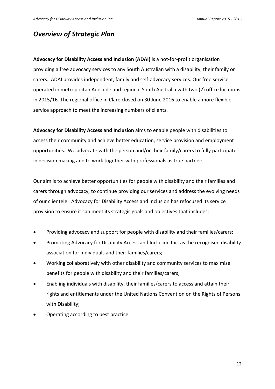## *Overview of Strategic Plan*

**Advocacy for Disability Access and Inclusion (ADAI)** is a not‐for‐profit organisation providing a free advocacy services to any South Australian with a disability, their family or carers. ADAI provides independent, family and self‐advocacy services. Our free service operated in metropolitan Adelaide and regional South Australia with two (2) office locations in 2015/16. The regional office in Clare closed on 30 June 2016 to enable a more flexible service approach to meet the increasing numbers of clients.

**Advocacy for Disability Access and Inclusion** aims to enable people with disabilities to access their community and achieve better education, service provision and employment opportunities. We advocate with the person and/or their family/carers to fully participate in decision making and to work together with professionals as true partners.

Our aim is to achieve better opportunities for people with disability and their families and carers through advocacy, to continue providing our services and address the evolving needs of our clientele. Advocacy for Disability Access and Inclusion has refocused its service provision to ensure it can meet its strategic goals and objectives that includes:

- Providing advocacy and support for people with disability and their families/carers;
- Promoting Advocacy for Disability Access and Inclusion Inc. as the recognised disability association for individuals and their families/carers;
- Working collaboratively with other disability and community services to maximise benefits for people with disability and their families/carers;
- Enabling individuals with disability, their families/carers to access and attain their rights and entitlements under the United Nations Convention on the Rights of Persons with Disability;
- Operating according to best practice.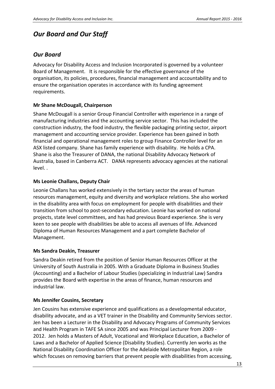## *Our Board and Our Staff*

#### *Our Board*

Advocacy for Disability Access and Inclusion Incorporated is governed by a volunteer Board of Management. It is responsible for the effective governance of the organisation, its policies, procedures, financial management and accountability and to ensure the organisation operates in accordance with its funding agreement requirements.

#### **Mr Shane McDougall, Chairperson**

Shane McDougall is a senior Group Financial Controller with experience in a range of manufacturing industries and the accounting service sector. This has included the construction industry, the food industry, the flexible packaging printing sector, airport management and accounting service provider. Experience has been gained in both financial and operational management roles to group Finance Controller level for an ASX listed company. Shane has family experience with disability. He holds a CPA. Shane is also the Treasurer of DANA, the national Disability Advocacy Network of Australia, based in Canberra ACT. DANA represents advocacy agencies at the national level. .

#### **Ms Leonie Challans, Deputy Chair**

Leonie Challans has worked extensively in the tertiary sector the areas of human resources management, equity and diversity and workplace relations. She also worked in the disability area with focus on employment for people with disabilities and their transition from school to post‐secondary education. Leonie has worked on national projects, state level committees, and has had previous Board experience. She is very keen to see people with disabilities be able to access all avenues of life. Advanced Diploma of Human Resources Management and a part complete Bachelor of Management.

#### **Ms Sandra Deakin, Treasurer**

Sandra Deakin retired from the position of Senior Human Resources Officer at the University of South Australia in 2005. With a Graduate Diploma in Business Studies (Accounting) and a Bachelor of Labour Studies (specializing in Industrial Law) Sandra provides the Board with expertise in the areas of finance, human resources and industrial law.

#### **Ms Jennifer Cousins, Secretary**

Jen Cousins has extensive experience and qualifications as a developmental educator, disability advocate, and as a VET trainer in the Disability and Community Services sector. Jen has been a Lecturer in the Disability and Advocacy Programs of Community Services and Health Program in TAFE SA since 2005 and was Principal Lecturer from 2009 ‐ 2012. Jen holds a Masters of Adult, Vocational and Workplace Education, a Bachelor of Laws and a Bachelor of Applied Science (Disability Studies). Currently Jen works as the National Disability Coordination Officer for the Adelaide Metropolitan Region, a role which focuses on removing barriers that prevent people with disabilities from accessing,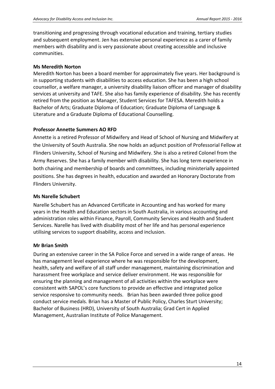transitioning and progressing through vocational education and training, tertiary studies and subsequent employment. Jen has extensive personal experience as a carer of family members with disability and is very passionate about creating accessible and inclusive communities.

#### **Ms Meredith Norton**

Meredith Norton has been a board member for approximately five years. Her background is in supporting students with disabilities to access education. She has been a high school counsellor, a welfare manager, a university disability liaison officer and manager of disability services at university and TAFE. She also has family experience of disability. She has recently retired from the position as Manager, Student Services for TAFESA. Meredith holds a Bachelor of Arts; Graduate Diploma of Education; Graduate Diploma of Language & Literature and a Graduate Diploma of Educational Counselling.

#### **Professor Annette Summers AO RFD**

Annette is a retired Professor of Midwifery and Head of School of Nursing and Midwifery at the University of South Australia. She now holds an adjunct position of Professorial Fellow at Flinders University, School of Nursing and Midwifery. She is also a retired Colonel from the Army Reserves. She has a family member with disability. She has long term experience in both chairing and membership of boards and committees, including ministerially appointed positions. She has degrees in health, education and awarded an Honorary Doctorate from Flinders University.

#### **Ms Narelle Schubert**

Narelle Schubert has an Advanced Certificate in Accounting and has worked for many years in the Health and Education sectors in South Australia, in various accounting and administration roles within Finance, Payroll, Community Services and Health and Student Services. Narelle has lived with disability most of her life and has personal experience utilising services to support disability, access and inclusion.

#### **Mr Brian Smith**

During an extensive career in the SA Police Force and served in a wide range of areas. He has management level experience where he was responsible for the development, health, safety and welfare of all staff under management, maintaining discrimination and harassment free workplace and service deliver environment. He was responsible for ensuring the planning and management of all activities within the workplace were consistent with SAPOL's core functions to provide an effective and integrated police service responsive to community needs. Brian has been awarded three police good conduct service medals. Brian has a Master of Public Policy, Charles Sturt University; Bachelor of Business (HRD), University of South Australia; Grad Cert in Applied Management, Australian Institute of Police Management.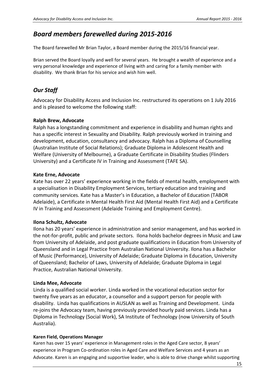## *Board members farewelled during 2015‐2016*

The Board farewelled Mr Brian Taylor, a Board member during the 2015/16 financial year.

 Brian served the Board loyally and well for several years. He brought a wealth of experience and a very personal knowledge and experience of living with and caring for a family member with disability. We thank Brian for his service and wish him well.

### *Our Staff*

Advocacy for Disability Access and Inclusion Inc. restructured its operations on 1 July 2016 and is pleased to welcome the following staff:

#### **Ralph Brew, Advocate**

Ralph has a longstanding commitment and experience in disability and human rights and has a specific interest in Sexuality and Disability. Ralph previously worked in training and development, education, consultancy and advocacy. Ralph has a Diploma of Counselling (Australian Institute of Social Relations); Graduate Diploma in Adolescent Health and Welfare (University of Melbourne), a Graduate Certificate in Disability Studies (Flinders University) and a Certificate IV in Training and Assessment (TAFE SA).

#### **Kate Erne, Advocate**

Kate has over 22 years' experience working in the fields of mental health, employment with a specialisation in Disability Employment Services, tertiary education and training and community services. Kate has a Master's in Education, a Bachelor of Education (TABOR Adelaide), a Certificate in Mental Health First Aid (Mental Health First Aid) and a Certificate IV in Training and Assessment (Adelaide Training and Employment Centre).

#### **Ilona Schultz, Advocate**

Ilona has 20 years' experience in administration and senior management, and has worked in the not‐for‐profit, public and private sectors. Ilona holds bachelor degrees in Music and Law from University of Adelaide, and post graduate qualifications in Education from University of Queensland and in Legal Practice from Australian National University. Ilona has a Bachelor of Music (Performance), University of Adelaide; Graduate Diploma in Education, University of Queensland; Bachelor of Laws, University of Adelaide; Graduate Diploma in Legal Practice, Australian National University.

#### **Linda Mee, Advocate**

Linda is a qualified social worker. Linda worked in the vocational education sector for twenty five years as an educator, a counsellor and a support person for people with disability. Linda has qualifications in AUSLAN as well as Training and Development. Linda re‐joins the Advocacy team, having previously provided hourly paid services. Linda has a Diploma in Technology (Social Work), SA Institute of Technology (now University of South Australia).

#### **Karen Field, Operations Manager**

 Advocate. Karen is an engaging and supportive leader, who is able to drive change whilst supporting Karen has over 15 years' experience in Management roles in the Aged Care sector, 8 years' experience in Program Co-ordination roles in Aged Care and Welfare Services and 4 years as an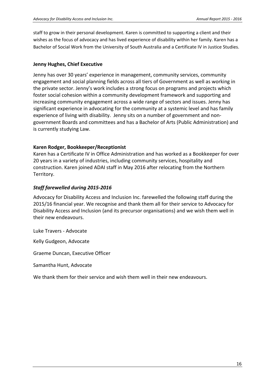Bachelor of Social Work from the University of South Australia and a Certificate IV in Justice Studies. staff to grow in their personal development. Karen is committed to supporting a client and their wishes as the focus of advocacy and has lived experience of disability within her family. Karen has a

#### **Jenny Hughes, Chief Executive**

Jenny has over 30 years' experience in management, community services, community engagement and social planning fields across all tiers of Government as well as working in the private sector. Jenny's work includes a strong focus on programs and projects which foster social cohesion within a community development framework and supporting and increasing community engagement across a wide range of sectors and issues. Jenny has significant experience in advocating for the community at a systemic level and has family experience of living with disability. Jenny sits on a number of government and non‐ government Boards and committees and has a Bachelor of Arts (Public Administration) and is currently studying Law.

#### **Karen Rodger, Bookkeeper/Receptionist**

Karen has a Certificate IV in Office Administration and has worked as a Bookkeeper for over 20 years in a variety of industries, including community services, hospitality and construction. Karen joined ADAI staff in May 2016 after relocating from the Northern Territory.

#### *Staff farewelled during 2015‐2016*

Advocacy for Disability Access and Inclusion Inc. farewelled the following staff during the 2015/16 financial year. We recognise and thank them all for their service to Advocacy for Disability Access and Inclusion (and its precursor organisations) and we wish them well in their new endeavours.

Luke Travers ‐ Advocate

Kelly Gudgeon, Advocate

Graeme Duncan, Executive Officer

Samantha Hunt, Advocate

We thank them for their service and wish them well in their new endeavours.